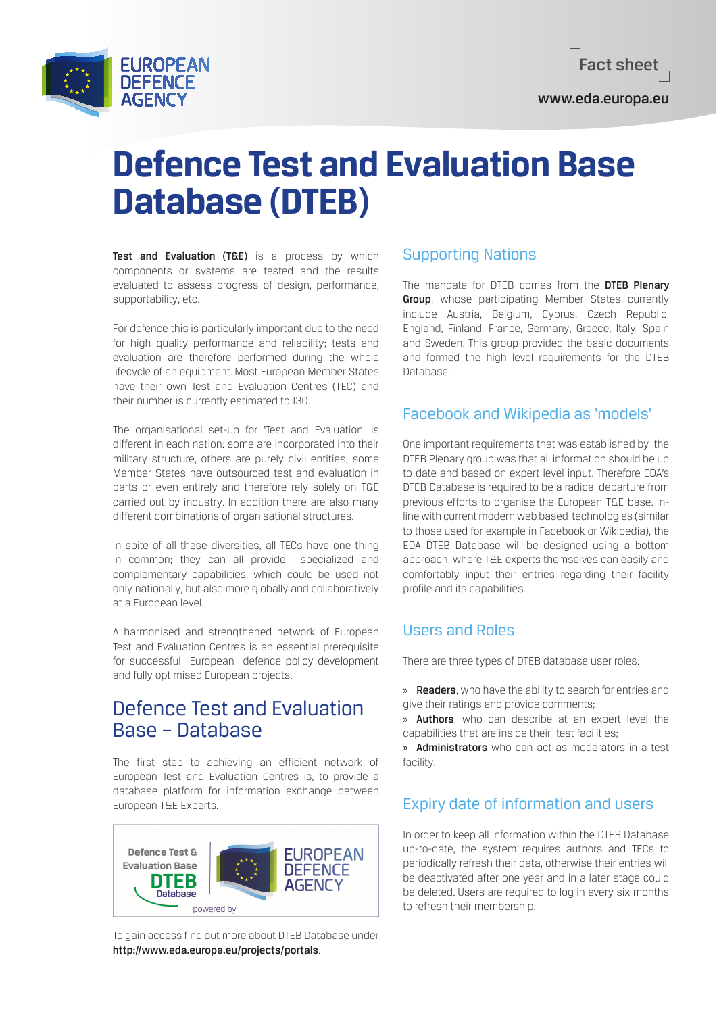

www.eda.europa.eu

# **Defence Test and Evaluation Base Database (DTEB)**

Test and Evaluation (T&E) is a process by which components or systems are tested and the results evaluated to assess progress of design, performance, supportability, etc.

For defence this is particularly important due to the need for high quality performance and reliability; tests and evaluation are therefore performed during the whole lifecycle of an equipment. Most European Member States have their own Test and Evaluation Centres (TEC) and their number is currently estimated to 130.

The organisational set-up for 'Test and Evaluation' is different in each nation: some are incorporated into their military structure, others are purely civil entities; some Member States have outsourced test and evaluation in parts or even entirely and therefore rely solely on T&E carried out by industry. In addition there are also many different combinations of organisational structures.

In spite of all these diversities, all TECs have one thing in common; they can all provide specialized and complementary capabilities, which could be used not only nationally, but also more globally and collaboratively at a European level.

A harmonised and strengthened network of European Test and Evaluation Centres is an essential prerequisite for successful European defence policy development and fully optimised European projects.

# Defence Test and Evaluation Base – Database

The first step to achieving an efficient network of European Test and Evaluation Centres is, to provide a database platform for information exchange between European T&E Experts.



To gain access find out more about DTEB Database under http://www.eda.europa.eu/projects/portals.

## Supporting Nations

The mandate for DTEB comes from the DTEB Plenary **Group**, whose participating Member States currently include Austria, Belgium, Cyprus, Czech Republic, England, Finland, France, Germany, Greece, Italy, Spain and Sweden. This group provided the basic documents and formed the high level requirements for the DTEB Database.

### Facebook and Wikipedia as 'models'

One important requirements that was established by the DTEB Plenary group was that all information should be up to date and based on expert level input. Therefore EDA's DTEB Database is required to be a radical departure from previous efforts to organise the European T&E base. Inline with current modern web based technologies (similar to those used for example in Facebook or Wikipedia), the EDA DTEB Database will be designed using a bottom approach, where T&E experts themselves can easily and comfortably input their entries regarding their facility profile and its capabilities.

## Users and Roles

There are three types of DTEB database user roles:

» **Readers**, who have the ability to search for entries and give their ratings and provide comments;

» Authors, who can describe at an expert level the capabilities that are inside their test facilities;

» Administrators who can act as moderators in a test facility.

## Expiry date of information and users

In order to keep all information within the DTEB Database up-to-date, the system requires authors and TECs to periodically refresh their data, otherwise their entries will be deactivated after one year and in a later stage could be deleted. Users are required to log in every six months to refresh their membership.